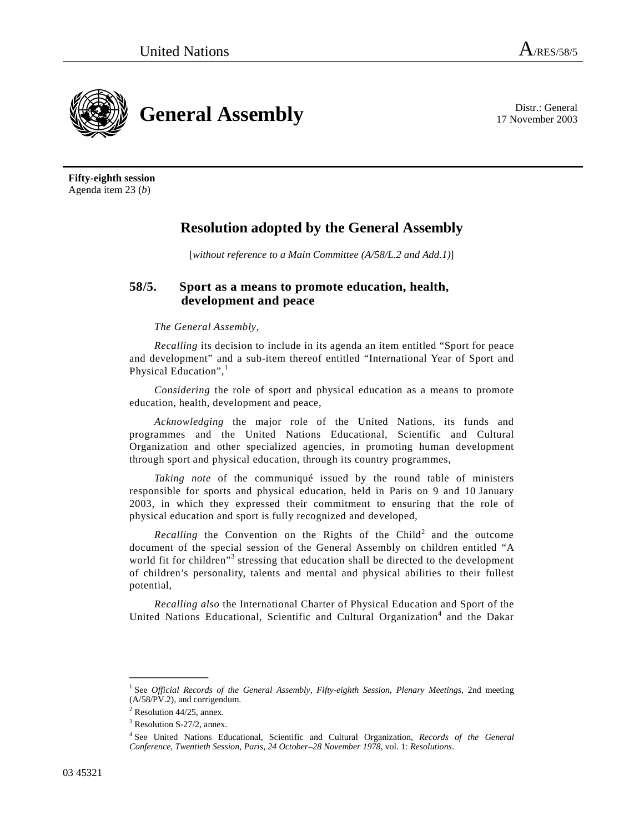

17 November 2003

**Fifty-eighth session**  Agenda item 23 (*b*)

## **Resolution adopted by the General Assembly**

[*without reference to a Main Committee (A/58/L.2 and Add.1)*]

## **58/5. Sport as a means to promote education, health, development and peace**

## *The General Assembly*,

*Recalling* its decision to include in its agenda an item entitled "Sport for peace and development" and a sub-item thereof entitled "International Year of Sport and Physical Education",<sup>1</sup>

*Considering* the role of sport and physical education as a means to promote education, health, development and peace,

*Acknowledging* the major role of the United Nations, its funds and programmes and the United Nations Educational, Scientific and Cultural Organization and other specialized agencies, in promoting human development through sport and physical education, through its country programmes,

*Taking note* of the communiqué issued by the round table of ministers responsible for sports and physical education, held in Paris on 9 and 10 January 2003, in which they expressed their commitment to ensuring that the role of physical education and sport is fully recognized and developed,

*Recalling* the Convention on the Rights of the Child<sup>2</sup> and the outcome document of the special session of the General Assembly on children entitled "A world fit for children"<sup>3</sup> stressing that education shall be directed to the development of children's personality, talents and mental and physical abilities to their fullest potential,

*Recalling also* the International Charter of Physical Education and Sport of the United Nations Educational, Scientific and Cultural Organization<sup>4</sup> and the Dakar

**\_\_\_\_\_\_\_\_\_\_\_\_\_\_\_** 

<sup>&</sup>lt;sup>1</sup> See *Official Records of the General Assembly, Fifty-eighth Session, Plenary Meetings, 2nd meeting* (A/58/PV.2), and corrigendum.

 $2^2$  Resolution 44/25, annex.

<sup>&</sup>lt;sup>3</sup> Resolution S-27/2, annex.

<sup>4</sup> See United Nations Educational, Scientific and Cultural Organization, *Records of the General Conference, Twentieth Session, Paris, 24 October–28 November 1978*, vol. 1: *Resolutions*.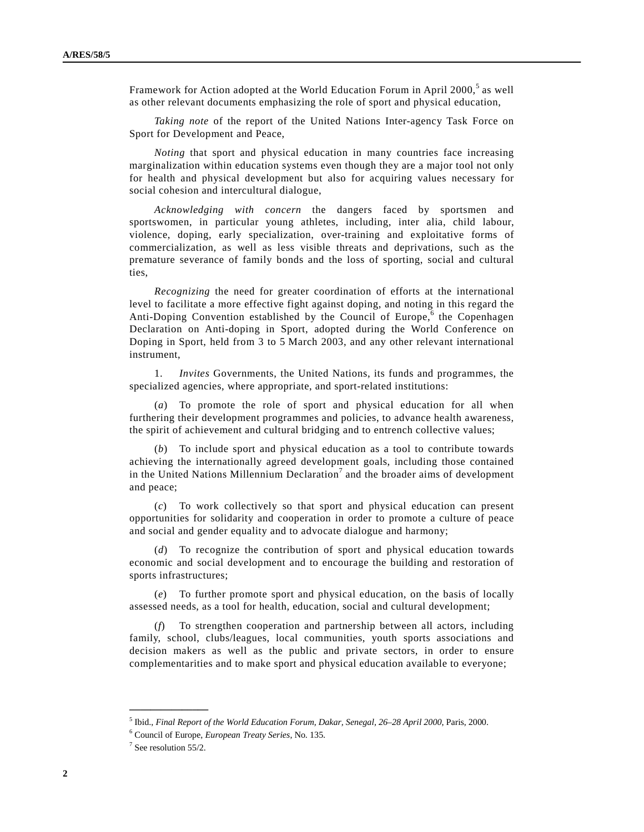Framework for Action adopted at the World Education Forum in April 2000,<sup>5</sup> as well as other relevant documents emphasizing the role of sport and physical education,

*Taking note* of the report of the United Nations Inter-agency Task Force on Sport for Development and Peace,

*Noting* that sport and physical education in many countries face increasing marginalization within education systems even though they are a major tool not only for health and physical development but also for acquiring values necessary for social cohesion and intercultural dialogue,

*Acknowledging with concern* the dangers faced by sportsmen and sportswomen, in particular young athletes, including, inter alia, child labour, violence, doping, early specialization, over-training and exploitative forms of commercialization, as well as less visible threats and deprivations, such as the premature severance of family bonds and the loss of sporting, social and cultural ties,

*Recognizing* the need for greater coordination of efforts at the international level to facilitate a more effective fight against doping, and noting in this regard the Anti-Doping Convention established by the Council of Europe,  $6$  the Copenhagen Declaration on Anti-doping in Sport, adopted during the World Conference on Doping in Sport, held from 3 to 5 March 2003, and any other relevant international instrument,

 1. *Invites* Governments, the United Nations, its funds and programmes, the specialized agencies, where appropriate, and sport-related institutions:

 (*a*) To promote the role of sport and physical education for all when furthering their development programmes and policies, to advance health awareness, the spirit of achievement and cultural bridging and to entrench collective values;

 (*b*) To include sport and physical education as a tool to contribute towards achieving the internationally agreed development goals, including those contained in the United Nations Millennium Declaration<sup>7</sup> and the broader aims of development and peace;

 (*c*) To work collectively so that sport and physical education can present opportunities for solidarity and cooperation in order to promote a culture of peace and social and gender equality and to advocate dialogue and harmony;

 (*d*) To recognize the contribution of sport and physical education towards economic and social development and to encourage the building and restoration of sports infrastructures;

 (*e*) To further promote sport and physical education, on the basis of locally assessed needs, as a tool for health, education, social and cultural development;

 (*f*) To strengthen cooperation and partnership between all actors, including family, school, clubs/leagues, local communities, youth sports associations and decision makers as well as the public and private sectors, in order to ensure complementarities and to make sport and physical education available to everyone;

**\_\_\_\_\_\_\_\_\_\_\_\_\_\_\_** 

<sup>&</sup>lt;sup>5</sup> Ibid., *Final Report of the World Education Forum, Dakar, Senegal, 26–28 April 2000*, Paris, 2000.<br><sup>6</sup> Council of Europe, *European Treaty Series*, No. 125.

Council of Europe, *European Treaty Series*, No. 135. 7

 $7$  See resolution 55/2.